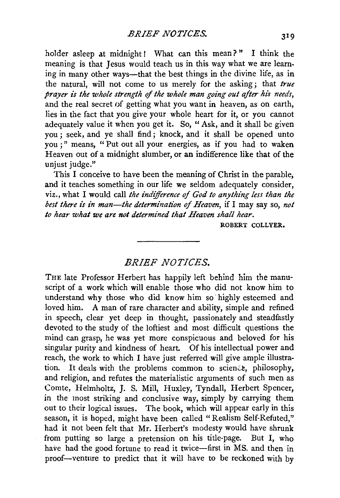holder asleep at midnight! What can this mean?" I think the meaning is that Jesus would teach us in this way what we are learning in many other ways-that the best things in the divine life, as in the natural, will not come to us merely for the asking; that *true prayer is the whole strength of the whole man going out after his needs,*  and the real secret of getting what you want in heaven, as on earth. lies in the fact that you give your whole heart for it, or you cannot adequately value it when you get it. So, "Ask, and it shall be given you; seek, and ye shall find; knock, and it shall be opened unto you ; " means, " Put out all your energies, as if you had to waken Heaven out of a midnight slumber, or an indifference like that of the unjust judge."

This I conceive to have been the meaning of Christ in the parable, and it teaches something in our life we seldom adequately consider, viz., what I would call the *indifference of God to anything less than the best there is in man-the determination of Heaven,* if I may say so, *not to hear what we are not determined that Heaven shall hear.* 

ROBERT COLLYER.

## *BRIEF .NOTICES.*

THE late Professor Herbert has happily left behind him the manuscript of a work which will enable those who did not know him to understand why those who did know him so· highly esteemed and loved him. A man of rare character and ability, simple and refined in speech, clear yet deep in thought, passionately and steadfastly devoted to the study of the loftiest and most difficult questions the mind can grasp, he was yet more conspicuous and beloved for his singular purity and kindness of heart. Of his intellectual power and reach, the work to which I have just referred will give ample illustration. It deals with the problems common to science, philosophy, and religion, and refutes the materialistic arguments of such men as Comte, Helmholtz, J. S. Mill, Huxley, Tyndall, Herbert Spencer, in the most striking and conclusive way, simply by carrying them out to their logical issues. The book, which will appear early in this season, it is hoped, might have been called "Realism Self-Refuted," had it not been felt that Mr. Herbert's modesty would have shrunk from putting so large a pretension on his title-page. But I, who have had the good fortune to read it twice-first in MS. and then in proof-ventnre to predict that it will have to be reckoned with by